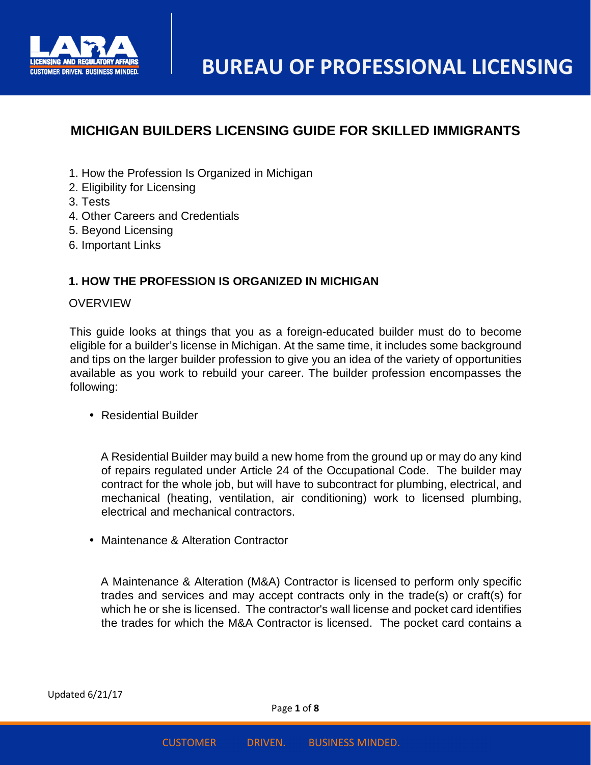

# **MICHIGAN BUILDERS LICENSING GUIDE FOR SKILLED IMMIGRANTS**

- 1. How the Profession Is Organized in Michigan
- 2. Eligibility for Licensing
- 3. Tests
- 4. Other Careers and Credentials
- 5. Beyond Licensing
- 6. Important Links

# **1. HOW THE PROFESSION IS ORGANIZED IN MICHIGAN**

#### **OVERVIEW**

This guide looks at things that you as a foreign-educated builder must do to become eligible for a builder's license in Michigan. At the same time, it includes some background and tips on the larger builder profession to give you an idea of the variety of opportunities available as you work to rebuild your career. The builder profession encompasses the following:

• Residential Builder

A Residential Builder may build a new home from the ground up or may do any kind of repairs regulated under Article 24 of the Occupational Code. The builder may contract for the whole job, but will have to subcontract for plumbing, electrical, and mechanical (heating, ventilation, air conditioning) work to licensed plumbing, electrical and mechanical contractors.

• Maintenance & Alteration Contractor

A Maintenance & Alteration (M&A) Contractor is licensed to perform only specific trades and services and may accept contracts only in the trade(s) or craft(s) for which he or she is licensed. The contractor's wall license and pocket card identifies the trades for which the M&A Contractor is licensed. The pocket card contains a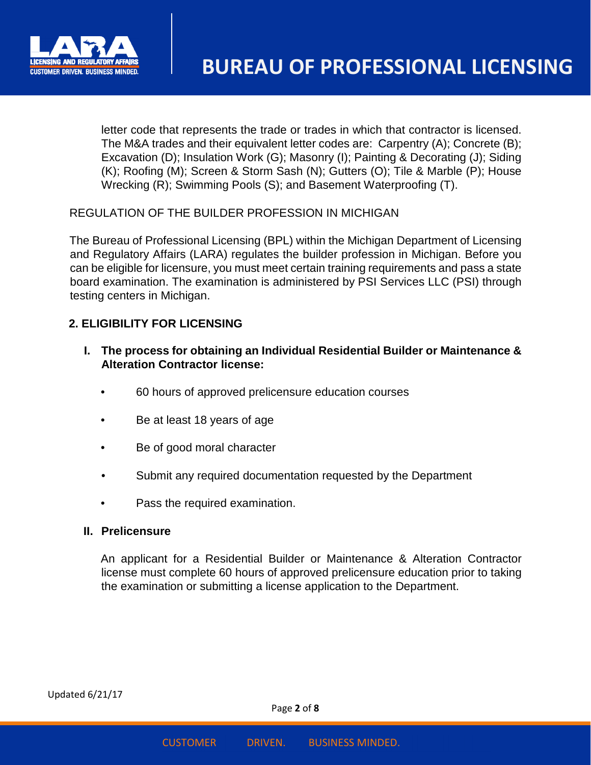

letter code that represents the trade or trades in which that contractor is licensed. The M&A trades and their equivalent letter codes are: Carpentry (A); Concrete (B); Excavation (D); Insulation Work (G); Masonry (I); Painting & Decorating (J); Siding (K); Roofing (M); Screen & Storm Sash (N); Gutters (O); Tile & Marble (P); House Wrecking (R); Swimming Pools (S); and Basement Waterproofing (T).

REGULATION OF THE BUILDER PROFESSION IN MICHIGAN

The Bureau of Professional Licensing (BPL) within the Michigan Department of Licensing and Regulatory Affairs (LARA) regulates the builder profession in Michigan. Before you can be eligible for licensure, you must meet certain training requirements and pass a state board examination. The examination is administered by PSI Services LLC (PSI) through testing centers in Michigan.

# **2. ELIGIBILITY FOR LICENSING**

- **I. The process for obtaining an Individual Residential Builder or Maintenance & Alteration Contractor license:** 
	- 60 hours of approved prelicensure education courses
	- Be at least 18 years of age
	- Be of good moral character
	- Submit any required documentation requested by the Department
	- Pass the required examination.

#### **II. Prelicensure**

An applicant for a Residential Builder or Maintenance & Alteration Contractor license must complete 60 hours of approved prelicensure education prior to taking the examination or submitting a license application to the Department.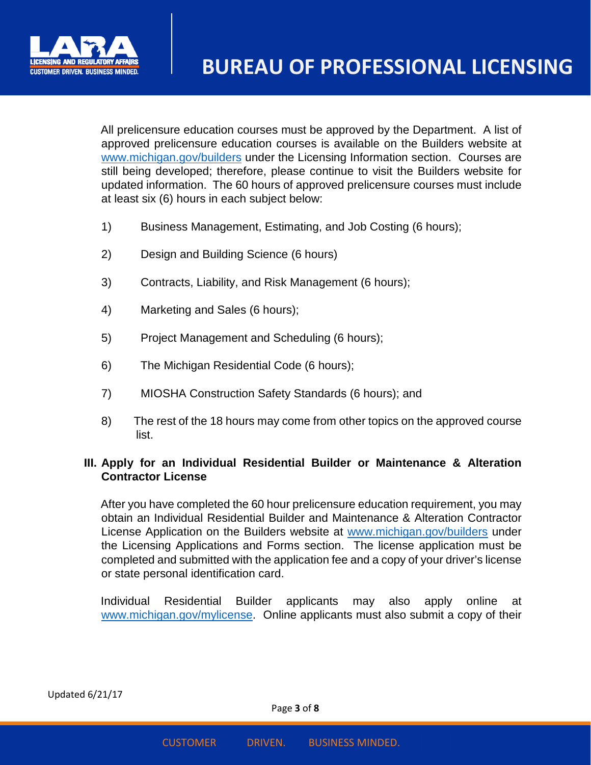

All prelicensure education courses must be approved by the Department. A list of approved prelicensure education courses is available on the Builders website at www.michigan.gov/builders under the Licensing Information section. Courses are still being developed; therefore, please continue to visit the Builders website for updated information. The 60 hours of approved prelicensure courses must include at least six (6) hours in each subject below:

- 1) Business Management, Estimating, and Job Costing (6 hours);
- 2) Design and Building Science (6 hours)
- 3) Contracts, Liability, and Risk Management (6 hours);
- 4) Marketing and Sales (6 hours);
- 5) Project Management and Scheduling (6 hours);
- 6) The Michigan Residential Code (6 hours);
- 7) MIOSHA Construction Safety Standards (6 hours); and
- 8) The rest of the 18 hours may come from other topics on the approved course list.

# **III. Apply for an Individual Residential Builder or Maintenance & Alteration Contractor License**

After you have completed the 60 hour prelicensure education requirement, you may obtain an Individual Residential Builder and Maintenance & Alteration Contractor License Application on the Builders website at www.michigan.gov/builders under the Licensing Applications and Forms section. The license application must be completed and submitted with the application fee and a copy of your driver's license or state personal identification card.

Individual Residential Builder applicants may also apply online at www.michigan.gov/mylicense. Online applicants must also submit a copy of their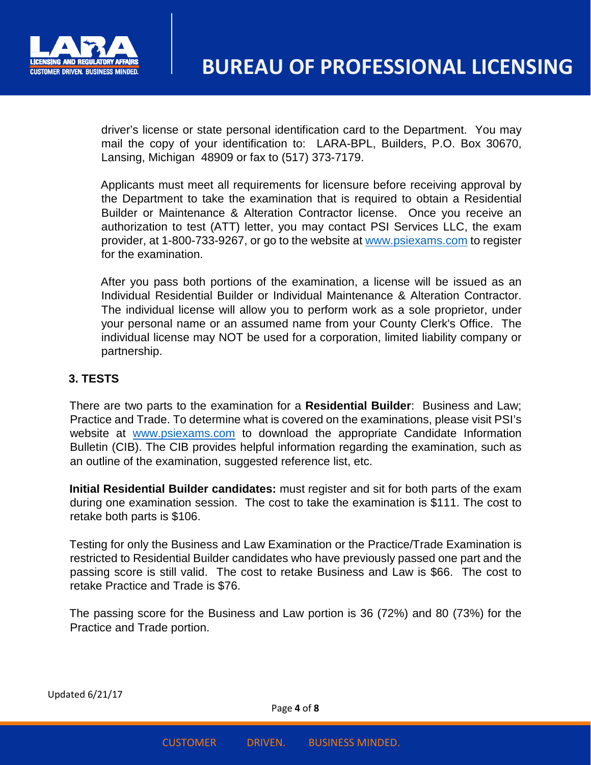

driver's license or state personal identification card to the Department. You may mail the copy of your identification to: LARA-BPL, Builders, P.O. Box 30670, Lansing, Michigan 48909 or fax to (517) 373-7179.

Applicants must meet all requirements for licensure before receiving approval by the Department to take the examination that is required to obtain a Residential Builder or Maintenance & Alteration Contractor license. Once you receive an authorization to test (ATT) letter, you may contact PSI Services LLC, the exam provider, at 1-800-733-9267, or go to the website at www.psiexams.com to register for the examination.

After you pass both portions of the examination, a license will be issued as an Individual Residential Builder or Individual Maintenance & Alteration Contractor. The individual license will allow you to perform work as a sole proprietor, under your personal name or an assumed name from your County Clerk's Office. The individual license may NOT be used for a corporation, limited liability company or partnership.

## **3. TESTS**

There are two parts to the examination for a **Residential Builder**: Business and Law; Practice and Trade. To determine what is covered on the examinations, please visit PSI's website at www.psiexams.com to download the appropriate Candidate Information Bulletin (CIB). The CIB provides helpful information regarding the examination, such as an outline of the examination, suggested reference list, etc.

**Initial Residential Builder candidates:** must register and sit for both parts of the exam during one examination session. The cost to take the examination is \$111. The cost to retake both parts is \$106.

Testing for only the Business and Law Examination or the Practice/Trade Examination is restricted to Residential Builder candidates who have previously passed one part and the passing score is still valid. The cost to retake Business and Law is \$66. The cost to retake Practice and Trade is \$76.

The passing score for the Business and Law portion is 36 (72%) and 80 (73%) for the Practice and Trade portion.

Updated 6/21/17

Page **4** of **8**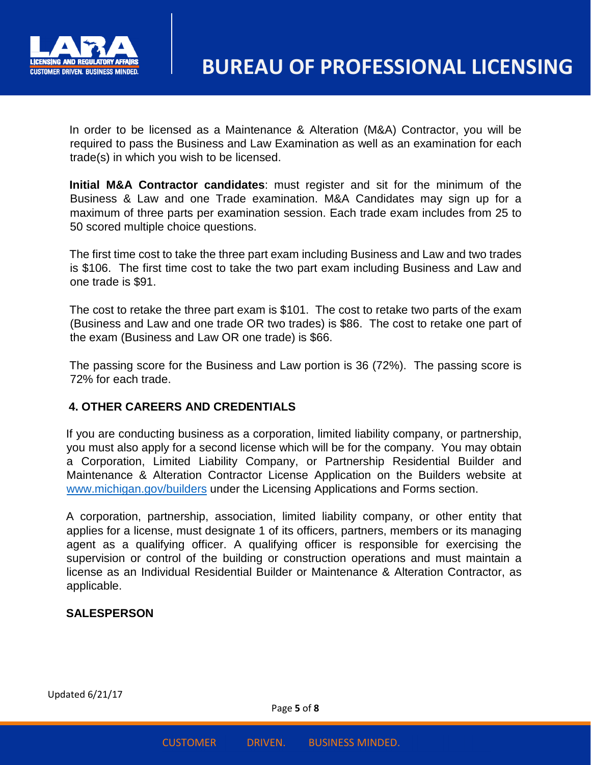

In order to be licensed as a Maintenance & Alteration (M&A) Contractor, you will be required to pass the Business and Law Examination as well as an examination for each trade(s) in which you wish to be licensed.

**Initial M&A Contractor candidates**: must register and sit for the minimum of the Business & Law and one Trade examination. M&A Candidates may sign up for a maximum of three parts per examination session. Each trade exam includes from 25 to 50 scored multiple choice questions.

The first time cost to take the three part exam including Business and Law and two trades is \$106. The first time cost to take the two part exam including Business and Law and one trade is \$91.

The cost to retake the three part exam is \$101. The cost to retake two parts of the exam (Business and Law and one trade OR two trades) is \$86. The cost to retake one part of the exam (Business and Law OR one trade) is \$66.

The passing score for the Business and Law portion is 36 (72%). The passing score is 72% for each trade.

## **4. OTHER CAREERS AND CREDENTIALS**

If you are conducting business as a corporation, limited liability company, or partnership, you must also apply for a second license which will be for the company. You may obtain a Corporation, Limited Liability Company, or Partnership Residential Builder and Maintenance & Alteration Contractor License Application on the Builders website at www.michigan.gov/builders under the Licensing Applications and Forms section.

A corporation, partnership, association, limited liability company, or other entity that applies for a license, must designate 1 of its officers, partners, members or its managing agent as a qualifying officer. A qualifying officer is responsible for exercising the supervision or control of the building or construction operations and must maintain a license as an Individual Residential Builder or Maintenance & Alteration Contractor, as applicable.

## **SALESPERSON**

Updated 6/21/17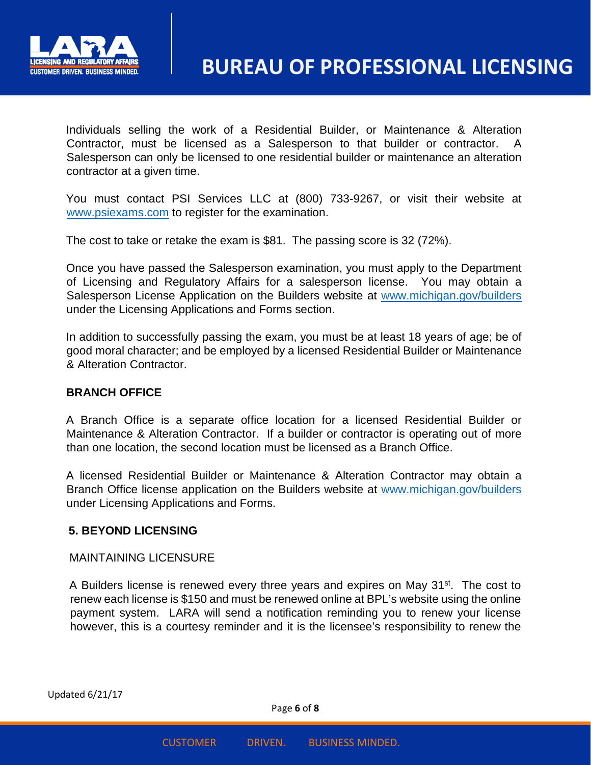

Individuals selling the work of a Residential Builder, or Maintenance & Alteration Contractor, must be licensed as a Salesperson to that builder or contractor. A Salesperson can only be licensed to one residential builder or maintenance an alteration contractor at a given time.

You must contact PSI Services LLC at (800) 733-9267, or visit their website at www.psiexams.com to register for the examination.

The cost to take or retake the exam is \$81. The passing score is 32 (72%).

Once you have passed the Salesperson examination, you must apply to the Department of Licensing and Regulatory Affairs for a salesperson license. You may obtain a Salesperson License Application on the Builders website at www.michigan.gov/builders under the Licensing Applications and Forms section.

In addition to successfully passing the exam, you must be at least 18 years of age; be of good moral character; and be employed by a licensed Residential Builder or Maintenance & Alteration Contractor.

## **BRANCH OFFICE**

A Branch Office is a separate office location for a licensed Residential Builder or Maintenance & Alteration Contractor. If a builder or contractor is operating out of more than one location, the second location must be licensed as a Branch Office.

A licensed Residential Builder or Maintenance & Alteration Contractor may obtain a Branch Office license application on the Builders website at www.michigan.gov/builders under Licensing Applications and Forms.

#### **5. BEYOND LICENSING**

#### MAINTAINING LICENSURE

A Builders license is renewed every three years and expires on May 31<sup>st</sup>. The cost to renew each license is \$150 and must be renewed online at BPL's website using the online payment system. LARA will send a notification reminding you to renew your license however, this is a courtesy reminder and it is the licensee's responsibility to renew the

Page **6** of **8**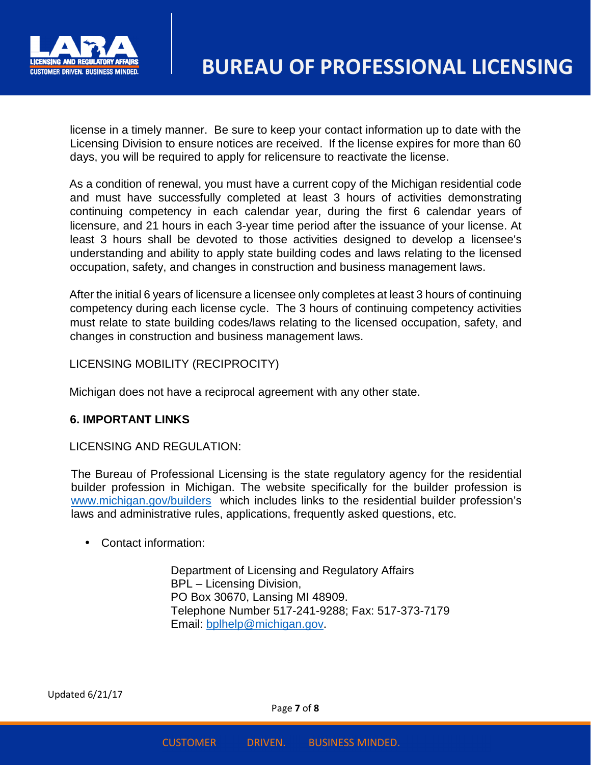

license in a timely manner. Be sure to keep your contact information up to date with the Licensing Division to ensure notices are received. If the license expires for more than 60 days, you will be required to apply for relicensure to reactivate the license.

As a condition of renewal, you must have a current copy of the Michigan residential code and must have successfully completed at least 3 hours of activities demonstrating continuing competency in each calendar year, during the first 6 calendar years of licensure, and 21 hours in each 3-year time period after the issuance of your license. At least 3 hours shall be devoted to those activities designed to develop a licensee's understanding and ability to apply state building codes and laws relating to the licensed occupation, safety, and changes in construction and business management laws.

After the initial 6 years of licensure a licensee only completes at least 3 hours of continuing competency during each license cycle. The 3 hours of continuing competency activities must relate to state building codes/laws relating to the licensed occupation, safety, and changes in construction and business management laws.

LICENSING MOBILITY (RECIPROCITY)

Michigan does not have a reciprocal agreement with any other state.

## **6. IMPORTANT LINKS**

LICENSING AND REGULATION:

The Bureau of Professional Licensing is the state regulatory agency for the residential builder profession in Michigan. The website specifically for the builder profession is www.michigan.gov/builders which includes links to the residential builder profession's laws and administrative rules, applications, frequently asked questions, etc.

• Contact information:

Department of Licensing and Regulatory Affairs BPL – Licensing Division, PO Box 30670, Lansing MI 48909. Telephone Number 517-241-9288; Fax: 517-373-7179 Email: bplhelp@michigan.gov.

Updated 6/21/17

Page **7** of **8**